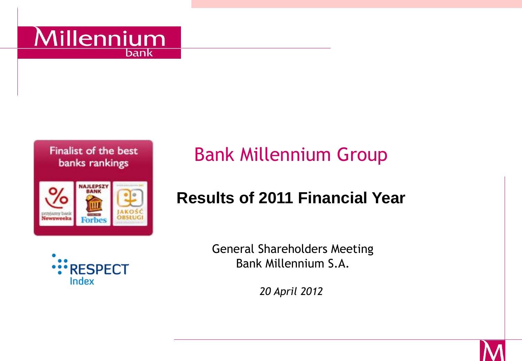





# Bank Millennium Group

#### **Results of 2011 Financial Year**



General Shareholders Meeting Bank Millennium S.A.

*20 April 2012* 

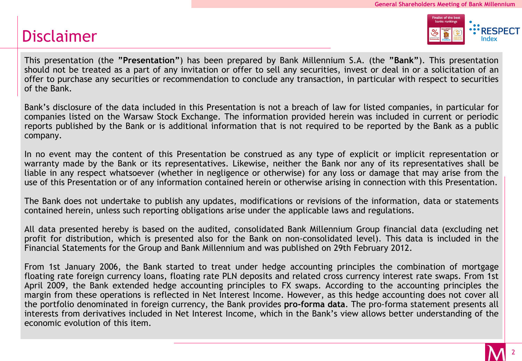#### Disclaimer



This presentation (the **"Presentation"**) has been prepared by Bank Millennium S.A. (the **"Bank"**). This presentation should not be treated as a part of any invitation or offer to sell any securities, invest or deal in or a solicitation of an offer to purchase any securities or recommendation to conclude any transaction, in particular with respect to securities of the Bank.

Bank's disclosure of the data included in this Presentation is not a breach of law for listed companies, in particular for companies listed on the Warsaw Stock Exchange. The information provided herein was included in current or periodic reports published by the Bank or is additional information that is not required to be reported by the Bank as a public company.

In no event may the content of this Presentation be construed as any type of explicit or implicit representation or warranty made by the Bank or its representatives. Likewise, neither the Bank nor any of its representatives shall be liable in any respect whatsoever (whether in negligence or otherwise) for any loss or damage that may arise from the use of this Presentation or of any information contained herein or otherwise arising in connection with this Presentation.

The Bank does not undertake to publish any updates, modifications or revisions of the information, data or statements contained herein, unless such reporting obligations arise under the applicable laws and regulations.

All data presented hereby is based on the audited, consolidated Bank Millennium Group financial data (excluding net profit for distribution, which is presented also for the Bank on non-consolidated level). This data is included in the Financial Statements for the Group and Bank Millennium and was published on 29th February 2012.

From 1st January 2006, the Bank started to treat under hedge accounting principles the combination of mortgage floating rate foreign currency loans, floating rate PLN deposits and related cross currency interest rate swaps. From 1st April 2009, the Bank extended hedge accounting principles to FX swaps. According to the accounting principles the margin from these operations is reflected in Net Interest Income. However, as this hedge accounting does not cover all the portfolio denominated in foreign currency, the Bank provides **pro-forma data**. The pro-forma statement presents all interests from derivatives included in Net Interest Income, which in the Bank's view allows better understanding of the economic evolution of this item.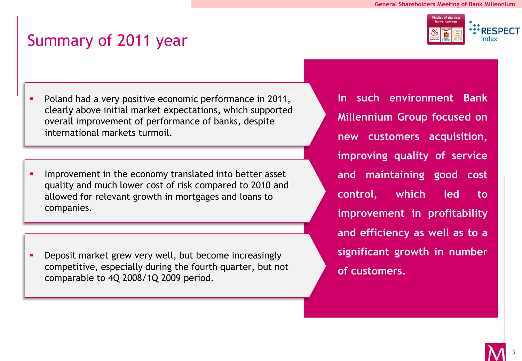#### inalist of the best **: RESPECT** Index

#### Summary of 2011 year

- **Poland had a very positive economic performance in 2011,** clearly above initial market expectations, which supported international markets turmoil. overall improvement of performance of banks, despite
- **IMPROVEMENT IN THE ECONOMY translated into better asset** and much lower cost of risk compared to 2010 and allowed for relevant allowed for relevant growth in mortgages and loans to companies. quality and much lower cost of risk compared to 2010 and

**•** Deposit market grew very well, but become increasingly comparable to 4Q 2008/1Q 2009 period. competitive, especially during the fourth quarter, but not **In such environment Bank Millennium Group focused on new customers acquisition, improving quality of service and maintaining good cost control, which led to improvement in profitability and efficiency as well as to a significant growth in number of customers.**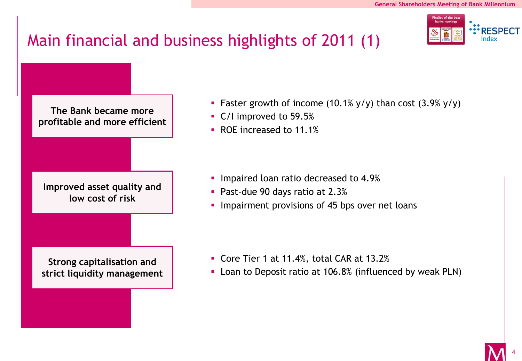#### nalist of the bes **\*RESPECT**

# Main financial and business highlights of 2011 (1)

**The Bank became more profitable and more efficient Improved asset quality and low cost of risk Strong capitalisation and strict liquidity management**

- **Faster growth of income (10.1% y/y) than cost (3.9% y/y)**
- C/I improved to 59.5%
- ROE increased to 11.1%

- **Impaired loan ratio decreased to 4.9%**
- **Past-due 90 days ratio at 2.3%**
- **Impairment provisions of 45 bps over net loans**

- Core Tier 1 at 11.4%, total CAR at 13.2%
- **-** Loan to Deposit ratio at 106.8% (influenced by weak PLN)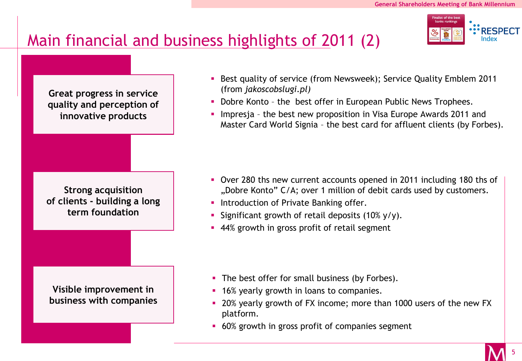**: RESPECT** 

#### Main financial and business highlights of 2011 (2)

**Great progress in service quality and perception of innovative products**

**Strong acquisition of clients - building a long term foundation**

**Visible improvement in business with companies** 

- Best quality of service (from Newsweek); Service Quality Emblem 2011 (from *jakoscobslugi.pl)*
- Dobre Konto the best offer in European Public News Trophees.
- **Impresja the best new proposition in Visa Europe Awards 2011 and** Master Card World Signia – the best card for affluent clients (by Forbes).

- Over 280 ths new current accounts opened in 2011 including 180 ths of "Dobre Konto" C/A; over 1 million of debit cards used by customers.
- **Introduction of Private Banking offer.**
- Significant growth of retail deposits  $(10\% \text{ y/y})$ .
- **44%** growth in gross profit of retail segment

- The best offer for small business (by Forbes).
- **16% yearly growth in loans to companies.**
- 20% yearly growth of FX income; more than 1000 users of the new FX platform.
- 60% growth in gross profit of companies segment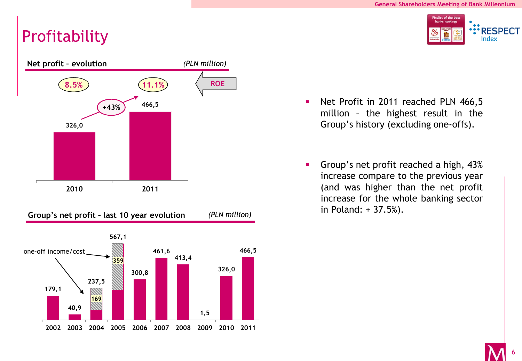# **Profitability**





- Net Profit in 2011 reached PLN 466,5 million – the highest result in the Group's history (excluding one-offs).
- Group's net profit reached a high, 43% increase compare to the previous year (and was higher than the net profit increase for the whole banking sector in Poland: + 37.5%).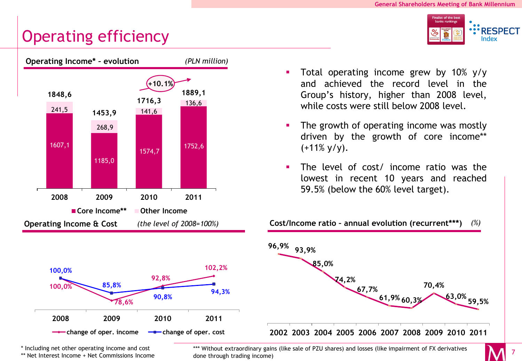: RESPECT Index

7

## Operating efficiency





\* Including net other operating income and cost

\*\* Net Interest Income + Net Commissions Income

 Total operating income grew by 10% y/y and achieved the record level in the Group's history, higher than 2008 level, while costs were still below 2008 level.

- The growth of operating income was mostly driven by the growth of core income\*\*  $(+11\% \text{ y/y}).$
- The level of cost/ income ratio was the lowest in recent 10 years and reached 59.5% (below the 60% level target).



**Cost/Income ratio – annual evolution (recurrent\*\*\*)** *(%)*

\*\*\* Without extraordinary gains (like sale of PZU shares) and losses (like impairment of FX derivatives done through trading income)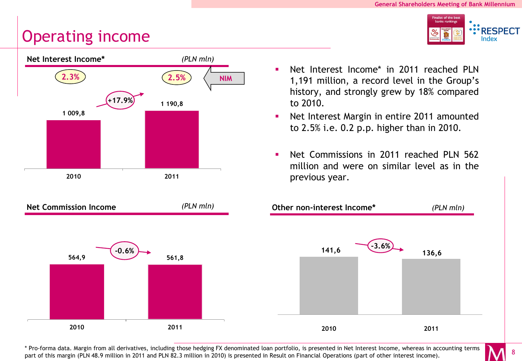**:** RESPECT Index

#### Operating income





- Net Interest Income\* in 2011 reached PLN 1,191 million, a record level in the Group's history, and strongly grew by 18% compared to 2010.
- Net Interest Margin in entire 2011 amounted to 2.5% i.e. 0.2 p.p. higher than in 2010.
- **Net Commissions in 2011 reached PLN 562** million and were on similar level as in the previous year.



\* Pro-forma data. Margin from all derivatives, including those hedging FX denominated loan portfolio, is presented in Net Interest Income, whereas in accounting terms part of this margin (PLN 48.9 million in 2011 and PLN 82.3 million in 2010) is presented in Result on Financial Operations (part of other interest income).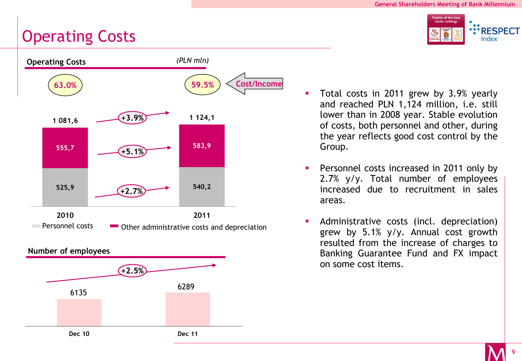#### Operating Costs





- Total costs in 2011 grew by 3.9% yearly and reached PLN 1,124 million, i.e. still lower than in 2008 year. Stable evolution of costs, both personnel and other, during the year reflects good cost control by the Group.
- Personnel costs increased in 2011 only by 2.7% y/y. Total number of employees increased due to recruitment in sales areas.
- Administrative costs (incl. depreciation) grew by 5.1% y/y. Annual cost growth resulted from the increase of charges to Banking Guarantee Fund and FX impact on some cost items.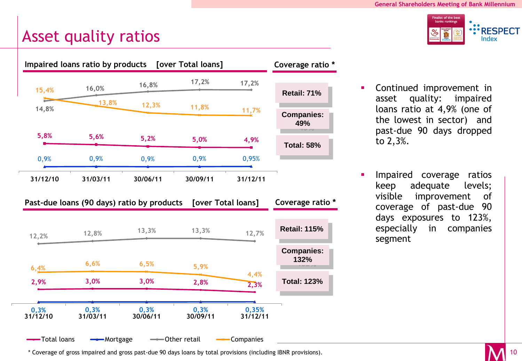

#### Asset quality ratios



- Continued improvement in asset quality: impaired loans ratio at 4,9% (one of the lowest in sector) and past-due 90 days dropped to 2,3%.
- Impaired coverage ratios keep adequate levels; visible improvement of coverage of past-due 90 days exposures to 123%, especially in companies segment

\* Coverage of gross impaired and gross past-due 90 days loans by total provisions (including IBNR provisions).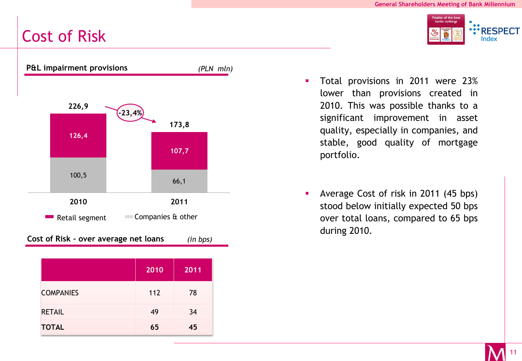Finalist of the best banks rankings

> : RESPECT Index

## Cost of Risk



|                  | 2010 | 2011 |
|------------------|------|------|
| <b>COMPANIES</b> | 112  | 78   |
| <b>RETAIL</b>    | 49   | 34   |
| <b>TOTAL</b>     | 65   | 45   |

- Total provisions in 2011 were 23% lower than provisions created in 2010. This was possible thanks to a significant improvement in asset quality, especially in companies, and stable, good quality of mortgage portfolio.
- Average Cost of risk in 2011 (45 bps) stood below initially expected 50 bps over total loans, compared to 65 bps during 2010.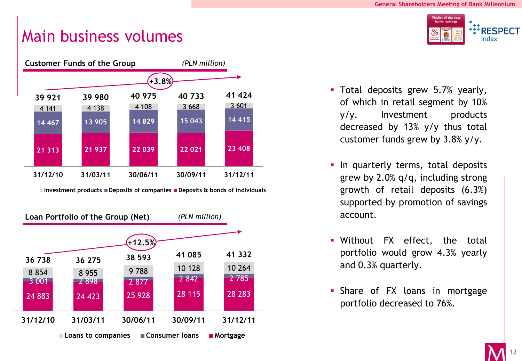#### Main business volumes



**Investment products Deposits of companies Deposits & bonds of individuals**



inalist of the best :'RESPECT Index

- **Total deposits grew 5.7% yearly,** of which in retail segment by 10% y/y. Investment products decreased by 13% y/y thus total customer funds grew by 3.8% y/y.
- **In quarterly terms, total deposits** grew by 2.0% q/q, including strong growth of retail deposits (6.3%) supported by promotion of savings account.
- Without FX effect, the total portfolio would grow 4.3% yearly and 0.3% quarterly.
- **Share of FX loans in mortgage** portfolio decreased to 76%.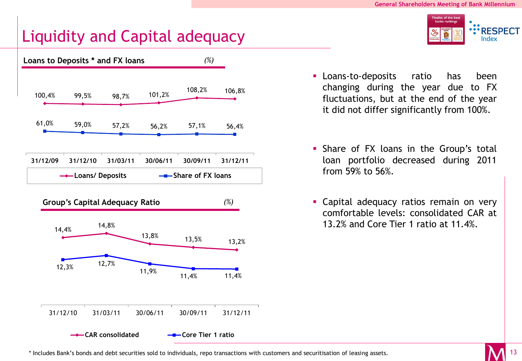: RESPECT Index

#### Liquidity and Capital adequacy





- Loans-to-deposits ratio has been changing during the year due to FX fluctuations, but at the end of the year it did not differ significantly from 100%.
- **Share of FX loans in the Group's total** loan portfolio decreased during 2011 from 59% to 56%.
- **Capital adequacy ratios remain on very** comfortable levels: consolidated CAR at 13.2% and Core Tier 1 ratio at 11.4%.

\* Includes Bank's bonds and debt securities sold to individuals, repo transactions with customers and securitisation of leasing assets.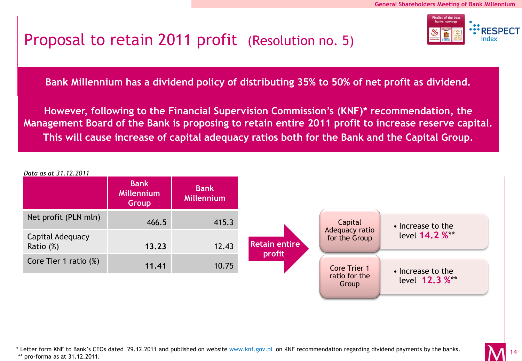

#### Proposal to retain 2011 profit (Resolution no. 5)

**Bank Millennium has a dividend policy of distributing 35% to 50% of net profit as dividend.** 

**Jednak zgodnie z zaleceniem Komisji Nadzoru Finansowego (KNF)\*, Zarząd Banku Millennium proponuje zatrzymanie całości zysku za rok 2011 w kapitałach własnych i przeznaczenie na kapitał Management Board of the Bank is proposing to retain entire 2011 profit to increase reserve capital.** This will cause increase of capital adequacy ratios both for the Bank and the Capital Group. **However, following to the Financial Supervision Commission's (KNF)\* recommendation, the** 



<sup>\*</sup> Letter form KNF to Bank's CEOs dated 29.12.2011 and published on website www.knf.gov.pl on KNF recommendation regarding dividend payments by the banks. \*\* pro-forma as at 31.12.2011.